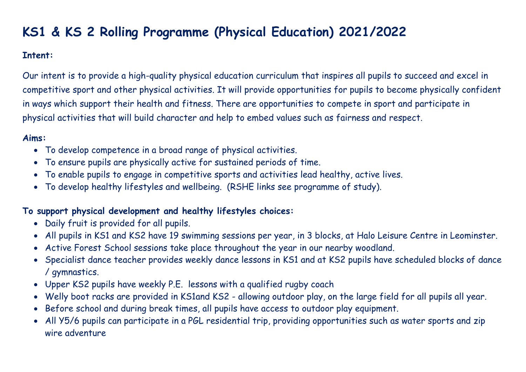# **KS1 & KS 2 Rolling Programme (Physical Education) 2021/2022**

#### **Intent:**

Our intent is to provide a high-quality physical education curriculum that inspires all pupils to succeed and excel in competitive sport and other physical activities. It will provide opportunities for pupils to become physically confident in ways which support their health and fitness. There are opportunities to compete in sport and participate in physical activities that will build character and help to embed values such as fairness and respect.

# **Aims:**

- To develop competence in a broad range of physical activities.
- To ensure pupils are physically active for sustained periods of time.
- To enable pupils to engage in competitive sports and activities lead healthy, active lives.
- To develop healthy lifestyles and wellbeing. (RSHE links see programme of study).

# **To support physical development and healthy lifestyles choices:**

- Daily fruit is provided for all pupils.
- All pupils in KS1 and KS2 have 19 swimming sessions per year, in 3 blocks, at Halo Leisure Centre in Leominster.
- Active Forest School sessions take place throughout the year in our nearby woodland.
- Specialist dance teacher provides weekly dance lessons in KS1 and at KS2 pupils have scheduled blocks of dance / gymnastics.
- Upper KS2 pupils have weekly P.E. lessons with a qualified rugby coach
- Welly boot racks are provided in KS1and KS2 allowing outdoor play, on the large field for all pupils all year.
- Before school and during break times, all pupils have access to outdoor play equipment.
- All Y5/6 pupils can participate in a PGL residential trip, providing opportunities such as water sports and zip wire adventure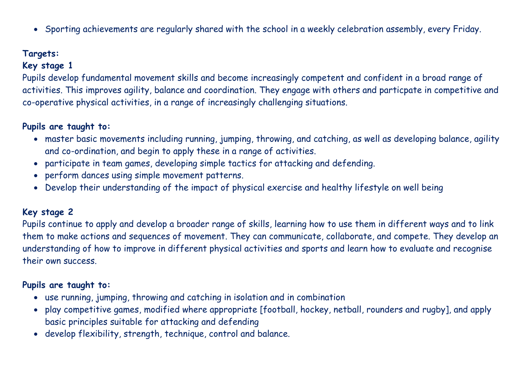• Sporting achievements are regularly shared with the school in a weekly celebration assembly, every Friday.

# **Targets:**

# **Key stage 1**

Pupils develop fundamental movement skills and become increasingly competent and confident in a broad range of activities. This improves agility, balance and coordination. They engage with others and particpate in competitive and co-operative physical activities, in a range of increasingly challenging situations.

# **Pupils are taught to:**

- master basic movements including running, jumping, throwing, and catching, as well as developing balance, agility and co-ordination, and begin to apply these in a range of activities.
- participate in team games, developing simple tactics for attacking and defending.
- perform dances using simple movement patterns.
- Develop their understanding of the impact of physical exercise and healthy lifestyle on well being

#### **Key stage 2**

Pupils continue to apply and develop a broader range of skills, learning how to use them in different ways and to link them to make actions and sequences of movement. They can communicate, collaborate, and compete. They develop an understanding of how to improve in different physical activities and sports and learn how to evaluate and recognise their own success.

#### **Pupils are taught to:**

- use running, jumping, throwing and catching in isolation and in combination
- play competitive games, modified where appropriate [football, hockey, netball, rounders and rugby], and apply basic principles suitable for attacking and defending
- develop flexibility, strength, technique, control and balance.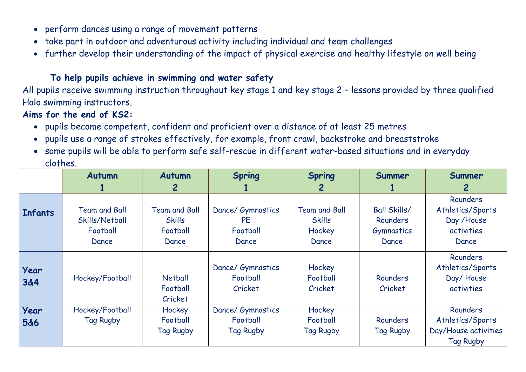- perform dances using a range of movement patterns
- take part in outdoor and adventurous activity including individual and team challenges
- further develop their understanding of the impact of physical exercise and healthy lifestyle on well being

### **To help pupils achieve in swimming and water safety**

All pupils receive swimming instruction throughout key stage 1 and key stage 2 – lessons provided by three qualified Halo swimming instructors.

## **Aims for the end of KS2:**

- pupils become competent, confident and proficient over a distance of at least 25 metres
- pupils use a range of strokes effectively, for example, front crawl, backstroke and breaststroke
- some pupils will be able to perform safe self-rescue in different water-based situations and in everyday clothes.

|                | <b>Autumn</b>        | <b>Autumn</b>        | <b>Spring</b>     | <b>Spring</b>        | Summer              | Summer               |
|----------------|----------------------|----------------------|-------------------|----------------------|---------------------|----------------------|
|                |                      | $\mathbf{2}$         |                   | 2                    |                     | 2                    |
|                |                      |                      |                   |                      |                     | Rounders             |
| <b>Infants</b> | <b>Team and Ball</b> | <b>Team and Ball</b> | Dance/ Gymnastics | <b>Team and Ball</b> | <b>Ball Skills/</b> | Athletics/Sports     |
|                | Skills/Netball       | <b>Skills</b>        | <b>PE</b>         | <b>Skills</b>        | Rounders            | Day /House           |
|                | Football             | Football             | Football          | Hockey               | Gymnastics          | activities           |
|                | Dance                | Dance                | Dance             | Dance                | Dance               | Dance                |
|                |                      |                      |                   |                      |                     | <b>Rounders</b>      |
| Year           |                      |                      | Dance/ Gymnastics | Hockey               |                     | Athletics/Sports     |
| 3&4            | Hockey/Football      | <b>Netball</b>       | Football          | Football             | Rounders            | Day/House            |
|                |                      | Football             | Cricket           | Cricket              | Cricket             | activities           |
|                |                      | Cricket              |                   |                      |                     |                      |
| Year           | Hockey/Football      | Hockey               | Dance/ Gymnastics | Hockey               |                     | <b>Rounders</b>      |
| 5&6            | <b>Tag Rugby</b>     | Football             | Football          | Football             | Rounders            | Athletics/Sports     |
|                |                      | <b>Tag Rugby</b>     | <b>Tag Rugby</b>  | <b>Tag Rugby</b>     | <b>Tag Rugby</b>    | Day/House activities |
|                |                      |                      |                   |                      |                     | <b>Tag Rugby</b>     |